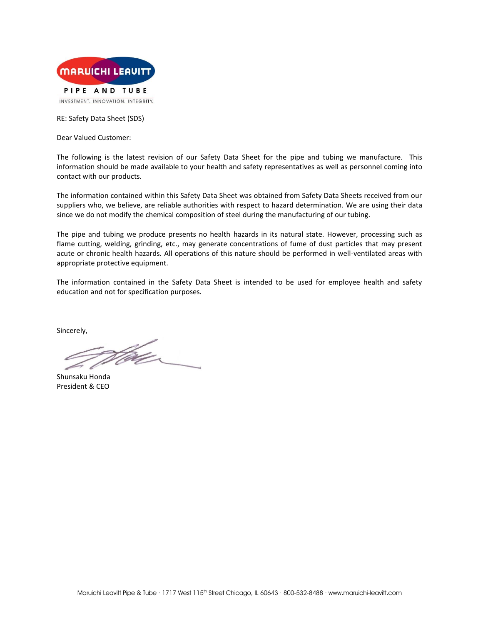

RE: Safety Data Sheet (SDS)

Dear Valued Customer:

The following is the latest revision of our Safety Data Sheet for the pipe and tubing we manufacture. This information should be made available to your health and safety representatives as well as personnel coming into contact with our products.

The information contained within this Safety Data Sheet was obtained from Safety Data Sheets received from our suppliers who, we believe, are reliable authorities with respect to hazard determination. We are using their data since we do not modify the chemical composition of steel during the manufacturing of our tubing.

The pipe and tubing we produce presents no health hazards in its natural state. However, processing such as flame cutting, welding, grinding, etc., may generate concentrations of fume of dust particles that may present acute or chronic health hazards. All operations of this nature should be performed in well-ventilated areas with appropriate protective equipment.

The information contained in the Safety Data Sheet is intended to be used for employee health and safety education and not for specification purposes.

Sincerely,

.<br>Waxe

Shunsaku Honda President & CEO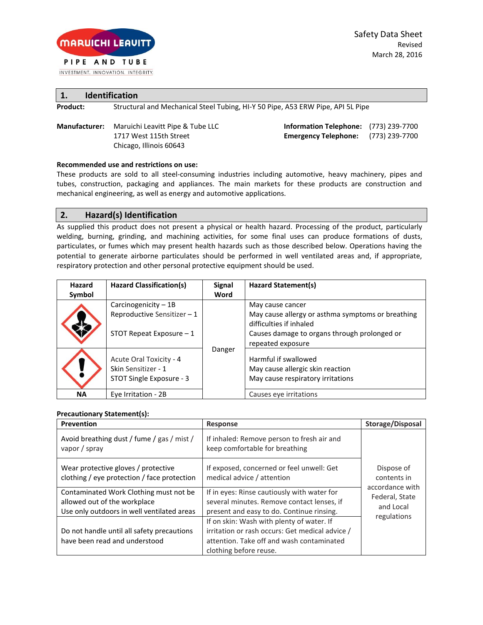

INVESTMENT. INNOVATION. INTEGRITY.

|          | <b>Identification</b>                                                           |
|----------|---------------------------------------------------------------------------------|
| Product: | Structural and Mechanical Steel Tubing, HI-Y 50 Pipe, A53 ERW Pipe, API 5L Pipe |

**Manufacturer:** Maruichi Leavitt Pipe & Tube LLC **Information Telephone:** (773) 239-7700 Chicago, Illinois 60643

1717 West 115th Street **Emergency Telephone:** (773) 239-7700

### **Recommended use and restrictions on use:**

These products are sold to all steel-consuming industries including automotive, heavy machinery, pipes and tubes, construction, packaging and appliances. The main markets for these products are construction and mechanical engineering, as well as energy and automotive applications.

## **2. Hazard(s) Identification**

As supplied this product does not present a physical or health hazard. Processing of the product, particularly welding, burning, grinding, and machining activities, for some final uses can produce formations of dusts, particulates, or fumes which may present health hazards such as those described below. Operations having the potential to generate airborne particulates should be performed in well ventilated areas and, if appropriate, respiratory protection and other personal protective equipment should be used.

| <b>Hazard</b> | Hazard Classification(s)                                                       | <b>Signal</b> | Hazard Statement(s)                                                                                                                              |
|---------------|--------------------------------------------------------------------------------|---------------|--------------------------------------------------------------------------------------------------------------------------------------------------|
| Symbol        |                                                                                | Word          |                                                                                                                                                  |
|               | Carcinogenicity - 1B<br>Reproductive Sensitizer-1<br>STOT Repeat Exposure $-1$ |               | May cause cancer<br>May cause allergy or asthma symptoms or breathing<br>difficulties if inhaled<br>Causes damage to organs through prolonged or |
|               | Acute Oral Toxicity - 4<br>Skin Sensitizer - 1<br>STOT Single Exposure - 3     | Danger        | repeated exposure<br>Harmful if swallowed<br>May cause allergic skin reaction<br>May cause respiratory irritations                               |
| <b>NA</b>     | Eye Irritation - 2B                                                            |               | Causes eye irritations                                                                                                                           |

### **Precautionary Statement(s):**

| Prevention                                                                                                            | <b>Response</b>                                                                                                                                                     | Storage/Disposal                               |
|-----------------------------------------------------------------------------------------------------------------------|---------------------------------------------------------------------------------------------------------------------------------------------------------------------|------------------------------------------------|
| Avoid breathing dust / fume / gas / mist /<br>vapor / spray                                                           | If inhaled: Remove person to fresh air and<br>keep comfortable for breathing                                                                                        |                                                |
| Wear protective gloves / protective<br>clothing / eye protection / face protection                                    | If exposed, concerned or feel unwell: Get<br>medical advice / attention                                                                                             | Dispose of<br>contents in                      |
| Contaminated Work Clothing must not be.<br>allowed out of the workplace<br>Use only outdoors in well ventilated areas | If in eyes: Rinse cautiously with water for<br>several minutes. Remove contact lenses, if<br>present and easy to do. Continue rinsing.                              | accordance with<br>Federal, State<br>and Local |
| Do not handle until all safety precautions<br>have been read and understood                                           | If on skin: Wash with plenty of water. If<br>irritation or rash occurs: Get medical advice /<br>attention. Take off and wash contaminated<br>clothing before reuse. | regulations                                    |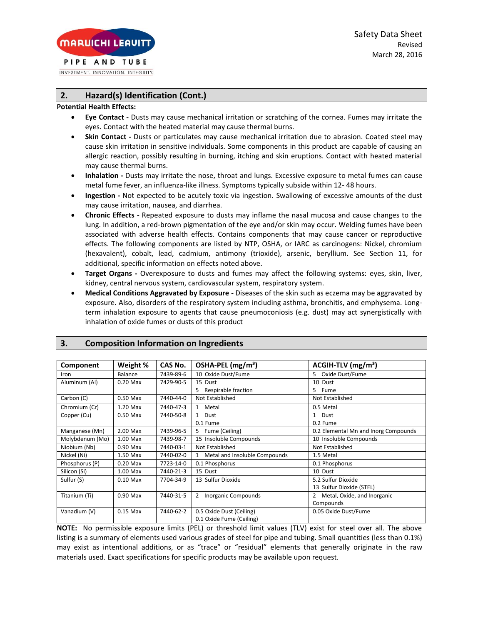INVESTMENT. INNOVATION. INTEGRITY.

# **2. Hazard(s) Identification (Cont.)**

#### **Potential Health Effects:**

- **Eye Contact -** Dusts may cause mechanical irritation or scratching of the cornea. Fumes may irritate the eyes. Contact with the heated material may cause thermal burns.
- **Skin Contact -** Dusts or particulates may cause mechanical irritation due to abrasion. Coated steel may cause skin irritation in sensitive individuals. Some components in this product are capable of causing an allergic reaction, possibly resulting in burning, itching and skin eruptions. Contact with heated material may cause thermal burns.
- **Inhalation -** Dusts may irritate the nose, throat and lungs. Excessive exposure to metal fumes can cause metal fume fever, an influenza-like illness. Symptoms typically subside within 12- 48 hours.
- **Ingestion -** Not expected to be acutely toxic via ingestion. Swallowing of excessive amounts of the dust may cause irritation, nausea, and diarrhea.
- **Chronic Effects -** Repeated exposure to dusts may inflame the nasal mucosa and cause changes to the lung. In addition, a red-brown pigmentation of the eye and/or skin may occur. Welding fumes have been associated with adverse health effects. Contains components that may cause cancer or reproductive effects. The following components are listed by NTP, OSHA, or IARC as carcinogens: Nickel, chromium (hexavalent), cobalt, lead, cadmium, antimony (trioxide), arsenic, beryllium. See Section 11, for additional, specific information on effects noted above.
- **Target Organs -** Overexposure to dusts and fumes may affect the following systems: eyes, skin, liver, kidney, central nervous system, cardiovascular system, respiratory system.
- **Medical Conditions Aggravated by Exposure -** Diseases of the skin such as eczema may be aggravated by exposure. Also, disorders of the respiratory system including asthma, bronchitis, and emphysema. Longterm inhalation exposure to agents that cause pneumoconiosis (e.g. dust) may act synergistically with inhalation of oxide fumes or dusts of this product

| Component       | Weight %       | CAS No.   | OSHA-PEL (mg/m <sup>3</sup> )   | ACGIH-TLV (mg/m <sup>3</sup> )       |
|-----------------|----------------|-----------|---------------------------------|--------------------------------------|
| Iron            | <b>Balance</b> | 7439-89-6 | 10 Oxide Dust/Fume              | Oxide Dust/Fume<br>5.                |
| Aluminum (Al)   | $0.20$ Max     | 7429-90-5 | 15 Dust                         | 10 Dust                              |
|                 |                |           | Respirable fraction             | 5 Fume                               |
| Carbon (C)      | 0.50 Max       | 7440-44-0 | Not Established                 | Not Established                      |
| Chromium (Cr)   | 1.20 Max       | 7440-47-3 | Metal<br>$\mathbf{1}$           | 0.5 Metal                            |
| Copper (Cu)     | $0.50$ Max     | 7440-50-8 | 1 Dust                          | 1 Dust                               |
|                 |                |           | 0.1 Fume                        | 0.2 Fume                             |
| Manganese (Mn)  | 2.00 Max       | 7439-96-5 | 5 Fume (Ceiling)                | 0.2 Elemental Mn and Inorg Compounds |
| Molybdenum (Mo) | 1.00 Max       | 7439-98-7 | 15 Insoluble Compounds          | 10 Insoluble Compounds               |
| Niobium (Nb)    | $0.90$ Max     | 7440-03-1 | Not Established                 | Not Established                      |
| Nickel (Ni)     | 1.50 Max       | 7440-02-0 | 1 Metal and Insoluble Compounds | 1.5 Metal                            |
| Phosphorus (P)  | $0.20$ Max     | 7723-14-0 | 0.1 Phosphorus                  | 0.1 Phosphorus                       |
| Silicon (Si)    | 1.00 Max       | 7440-21-3 | 15 Dust                         | 10 Dust                              |
| Sulfur (S)      | $0.10$ Max     | 7704-34-9 | 13 Sulfur Dioxide               | 5.2 Sulfur Dioxide                   |
|                 |                |           |                                 | 13 Sulfur Dioxide (STEL)             |
| Titanium (Ti)   | $0.90$ Max     | 7440-31-5 | <b>Inorganic Compounds</b><br>2 | Metal, Oxide, and Inorganic          |
|                 |                |           |                                 | Compounds                            |
| Vanadium (V)    | $0.15$ Max     | 7440-62-2 | 0.5 Oxide Dust (Ceiling)        | 0.05 Oxide Dust/Fume                 |
|                 |                |           | 0.1 Oxide Fume (Ceiling)        |                                      |

# **3. Composition Information on Ingredients**

**NOTE:** No permissible exposure limits (PEL) or threshold limit values (TLV) exist for steel over all. The above listing is a summary of elements used various grades of steel for pipe and tubing. Small quantities (less than 0.1%) may exist as intentional additions, or as "trace" or "residual" elements that generally originate in the raw materials used. Exact specifications for specific products may be available upon request.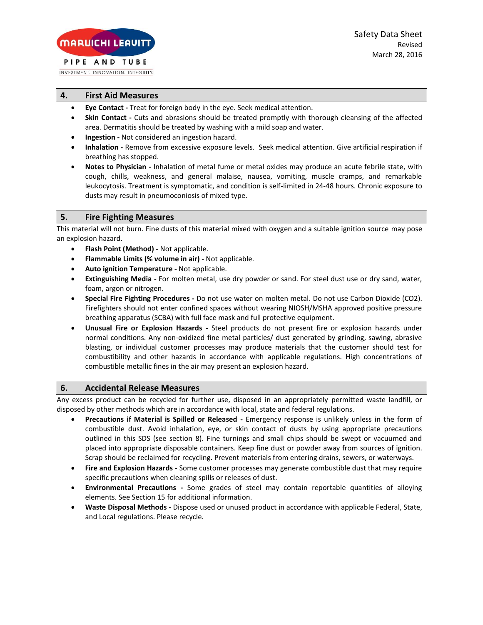INVESTMENT. INNOVATION. INTEGRITY.

# **4. First Aid Measures**

- **Eye Contact -** Treat for foreign body in the eye. Seek medical attention.
- **Skin Contact -** Cuts and abrasions should be treated promptly with thorough cleansing of the affected area. Dermatitis should be treated by washing with a mild soap and water.
- **Ingestion -** Not considered an ingestion hazard.
- **Inhalation -** Remove from excessive exposure levels. Seek medical attention. Give artificial respiration if breathing has stopped.
- **Notes to Physician -** Inhalation of metal fume or metal oxides may produce an acute febrile state, with cough, chills, weakness, and general malaise, nausea, vomiting, muscle cramps, and remarkable leukocytosis. Treatment is symptomatic, and condition is self-limited in 24-48 hours. Chronic exposure to dusts may result in pneumoconiosis of mixed type.

## **5. Fire Fighting Measures**

This material will not burn. Fine dusts of this material mixed with oxygen and a suitable ignition source may pose an explosion hazard.

- **Flash Point (Method) -** Not applicable.
- **Flammable Limits (% volume in air) -** Not applicable.
- **Auto ignition Temperature -** Not applicable.
- **Extinguishing Media -** For molten metal, use dry powder or sand. For steel dust use or dry sand, water, foam, argon or nitrogen.
- **Special Fire Fighting Procedures -** Do not use water on molten metal. Do not use Carbon Dioxide (CO2). Firefighters should not enter confined spaces without wearing NIOSH/MSHA approved positive pressure breathing apparatus (SCBA) with full face mask and full protective equipment.
- **Unusual Fire or Explosion Hazards -** Steel products do not present fire or explosion hazards under normal conditions. Any non-oxidized fine metal particles/ dust generated by grinding, sawing, abrasive blasting, or individual customer processes may produce materials that the customer should test for combustibility and other hazards in accordance with applicable regulations. High concentrations of combustible metallic fines in the air may present an explosion hazard.

### **6. Accidental Release Measures**

Any excess product can be recycled for further use, disposed in an appropriately permitted waste landfill, or disposed by other methods which are in accordance with local, state and federal regulations.

- **Precautions if Material is Spilled or Released -** Emergency response is unlikely unless in the form of combustible dust. Avoid inhalation, eye, or skin contact of dusts by using appropriate precautions outlined in this SDS (see section 8). Fine turnings and small chips should be swept or vacuumed and placed into appropriate disposable containers. Keep fine dust or powder away from sources of ignition. Scrap should be reclaimed for recycling. Prevent materials from entering drains, sewers, or waterways.
- **Fire and Explosion Hazards -** Some customer processes may generate combustible dust that may require specific precautions when cleaning spills or releases of dust.
- **Environmental Precautions -** Some grades of steel may contain reportable quantities of alloying elements. See Section 15 for additional information.
- **Waste Disposal Methods -** Dispose used or unused product in accordance with applicable Federal, State, and Local regulations. Please recycle.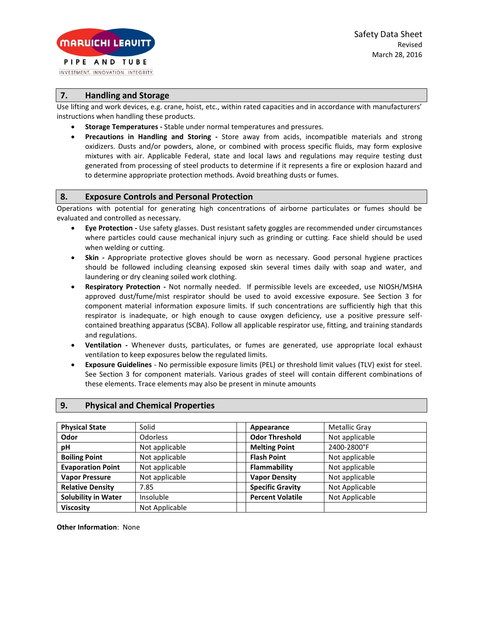#### PIPE AND TUBE INVESTMENT. INNOVATION. INTEGRITY.

**MARUICHI LEAVIT** 

**7. Handling and Storage**

Use lifting and work devices, e.g. crane, hoist, etc., within rated capacities and in accordance with manufacturers' instructions when handling these products.

- **Storage Temperatures -** Stable under normal temperatures and pressures.
- **Precautions in Handling and Storing -** Store away from acids, incompatible materials and strong oxidizers. Dusts and/or powders, alone, or combined with process specific fluids, may form explosive mixtures with air. Applicable Federal, state and local laws and regulations may require testing dust generated from processing of steel products to determine if it represents a fire or explosion hazard and to determine appropriate protection methods. Avoid breathing dusts or fumes.

## **8. Exposure Controls and Personal Protection**

Operations with potential for generating high concentrations of airborne particulates or fumes should be evaluated and controlled as necessary.

- **Eye Protection -** Use safety glasses. Dust resistant safety goggles are recommended under circumstances where particles could cause mechanical injury such as grinding or cutting. Face shield should be used when welding or cutting.
- **Skin -** Appropriate protective gloves should be worn as necessary. Good personal hygiene practices should be followed including cleansing exposed skin several times daily with soap and water, and laundering or dry cleaning soiled work clothing.
- **Respiratory Protection -** Not normally needed. If permissible levels are exceeded, use NIOSH/MSHA approved dust/fume/mist respirator should be used to avoid excessive exposure. See Section 3 for component material information exposure limits. If such concentrations are sufficiently high that this respirator is inadequate, or high enough to cause oxygen deficiency, use a positive pressure selfcontained breathing apparatus (SCBA). Follow all applicable respirator use, fitting, and training standards and regulations.
- **Ventilation -** Whenever dusts, particulates, or fumes are generated, use appropriate local exhaust ventilation to keep exposures below the regulated limits.
- **Exposure Guidelines**  No permissible exposure limits (PEL) or threshold limit values (TLV) exist for steel. See Section 3 for component materials. Various grades of steel will contain different combinations of these elements. Trace elements may also be present in minute amounts

## **9. Physical and Chemical Properties**

| <b>Physical State</b>      | Solid           | Appearance              | <b>Metallic Gray</b> |
|----------------------------|-----------------|-------------------------|----------------------|
| Odor                       | <b>Odorless</b> | <b>Odor Threshold</b>   | Not applicable       |
| рH                         | Not applicable  | <b>Melting Point</b>    | 2400-2800°F          |
| <b>Boiling Point</b>       | Not applicable  | <b>Flash Point</b>      | Not applicable       |
| <b>Evaporation Point</b>   | Not applicable  | Flammability            | Not applicable       |
| <b>Vapor Pressure</b>      | Not applicable  | <b>Vapor Density</b>    | Not applicable       |
| <b>Relative Density</b>    | 7.85            | <b>Specific Gravity</b> | Not Applicable       |
| <b>Solubility in Water</b> | Insoluble       | <b>Percent Volatile</b> | Not Applicable       |
| <b>Viscosity</b>           | Not Applicable  |                         |                      |

**Other Information**: None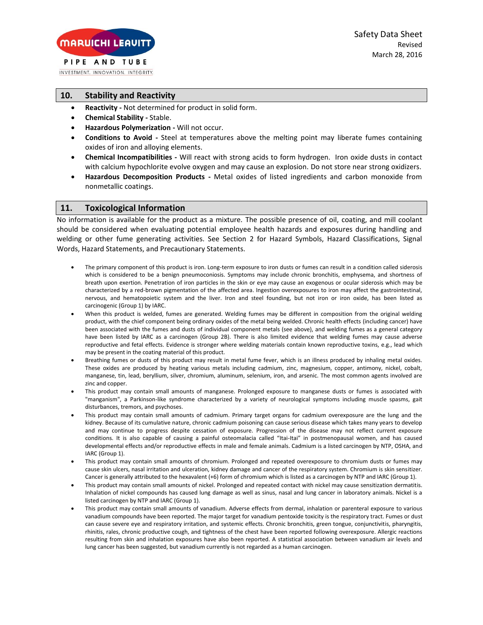INVESTMENT. INNOVATION. INTEGRITY.

## **10. Stability and Reactivity**

- **Reactivity -** Not determined for product in solid form.
- **Chemical Stability -** Stable.
- **Hazardous Polymerization -** Will not occur.
- **Conditions to Avoid -** Steel at temperatures above the melting point may liberate fumes containing oxides of iron and alloying elements.
- **Chemical Incompatibilities -** Will react with strong acids to form hydrogen. Iron oxide dusts in contact with calcium hypochlorite evolve oxygen and may cause an explosion. Do not store near strong oxidizers.
- **Hazardous Decomposition Products -** Metal oxides of listed ingredients and carbon monoxide from nonmetallic coatings.

### **11. Toxicological Information**

No information is available for the product as a mixture. The possible presence of oil, coating, and mill coolant should be considered when evaluating potential employee health hazards and exposures during handling and welding or other fume generating activities. See Section 2 for Hazard Symbols, Hazard Classifications, Signal Words, Hazard Statements, and Precautionary Statements.

- The primary component of this product is iron. Long-term exposure to iron dusts or fumes can result in a condition called siderosis which is considered to be a benign pneumoconiosis. Symptoms may include chronic bronchitis, emphysema, and shortness of breath upon exertion. Penetration of iron particles in the skin or eye may cause an exogenous or ocular siderosis which may be characterized by a red-brown pigmentation of the affected area. Ingestion overexposures to iron may affect the gastrointestinal, nervous, and hematopoietic system and the liver. Iron and steel founding, but not iron or iron oxide, has been listed as carcinogenic (Group 1) by IARC.
- When this product is welded, fumes are generated. Welding fumes may be different in composition from the original welding product, with the chief component being ordinary oxides of the metal being welded. Chronic health effects (including cancer) have been associated with the fumes and dusts of individual component metals (see above), and welding fumes as a general category have been listed by IARC as a carcinogen (Group 2B). There is also limited evidence that welding fumes may cause adverse reproductive and fetal effects. Evidence is stronger where welding materials contain known reproductive toxins, e.g., lead which may be present in the coating material of this product.
- Breathing fumes or dusts of this product may result in metal fume fever, which is an illness produced by inhaling metal oxides. These oxides are produced by heating various metals including cadmium, zinc, magnesium, copper, antimony, nickel, cobalt, manganese, tin, lead, beryllium, silver, chromium, aluminum, selenium, iron, and arsenic. The most common agents involved are zinc and copper.
- This product may contain small amounts of manganese. Prolonged exposure to manganese dusts or fumes is associated with "manganism", a Parkinson-like syndrome characterized by a variety of neurological symptoms including muscle spasms, gait disturbances, tremors, and psychoses.
- This product may contain small amounts of cadmium. Primary target organs for cadmium overexposure are the lung and the kidney. Because of its cumulative nature, chronic cadmium poisoning can cause serious disease which takes many years to develop and may continue to progress despite cessation of exposure. Progression of the disease may not reflect current exposure conditions. It is also capable of causing a painful osteomalacia called "Itai-Itai" in postmenopausal women, and has caused developmental effects and/or reproductive effects in male and female animals. Cadmium is a listed carcinogen by NTP, OSHA, and IARC (Group 1).
- This product may contain small amounts of chromium. Prolonged and repeated overexposure to chromium dusts or fumes may cause skin ulcers, nasal irritation and ulceration, kidney damage and cancer of the respiratory system. Chromium is skin sensitizer. Cancer is generally attributed to the hexavalent (+6) form of chromium which is listed as a carcinogen by NTP and IARC (Group 1).
- This product may contain small amounts of nickel. Prolonged and repeated contact with nickel may cause sensitization dermatitis. Inhalation of nickel compounds has caused lung damage as well as sinus, nasal and lung cancer in laboratory animals. Nickel is a listed carcinogen by NTP and IARC (Group 1).
- This product may contain small amounts of vanadium. Adverse effects from dermal, inhalation or parenteral exposure to various vanadium compounds have been reported. The major target for vanadium pentoxide toxicity is the respiratory tract. Fumes or dust can cause severe eye and respiratory irritation, and systemic effects. Chronic bronchitis, green tongue, conjunctivitis, pharyngitis, rhinitis, rales, chronic productive cough, and tightness of the chest have been reported following overexposure. Allergic reactions resulting from skin and inhalation exposures have also been reported. A statistical association between vanadium air levels and lung cancer has been suggested, but vanadium currently is not regarded as a human carcinogen.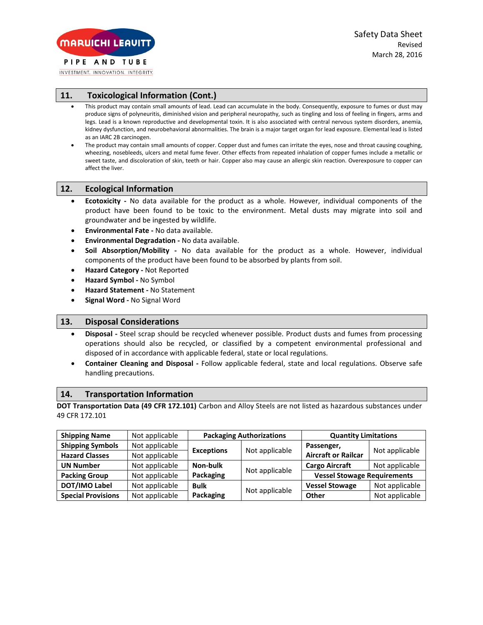INVESTMENT. INNOVATION. INTEGRITY.

# **11. Toxicological Information (Cont.)**

- This product may contain small amounts of lead. Lead can accumulate in the body. Consequently, exposure to fumes or dust may produce signs of polyneuritis, diminished vision and peripheral neuropathy, such as tingling and loss of feeling in fingers, arms and legs. Lead is a known reproductive and developmental toxin. It is also associated with central nervous system disorders, anemia, kidney dysfunction, and neurobehavioral abnormalities. The brain is a major target organ for lead exposure. Elemental lead is listed as an IARC 2B carcinogen.
- The product may contain small amounts of copper. Copper dust and fumes can irritate the eyes, nose and throat causing coughing, wheezing, nosebleeds, ulcers and metal fume fever. Other effects from repeated inhalation of copper fumes include a metallic or sweet taste, and discoloration of skin, teeth or hair. Copper also may cause an allergic skin reaction. Overexposure to copper can affect the liver.

### **12. Ecological Information**

- **Ecotoxicity -** No data available for the product as a whole. However, individual components of the product have been found to be toxic to the environment. Metal dusts may migrate into soil and groundwater and be ingested by wildlife.
- **Environmental Fate -** No data available.
- **Environmental Degradation -** No data available.
- **Soil Absorption/Mobility -** No data available for the product as a whole. However, individual components of the product have been found to be absorbed by plants from soil.
- **Hazard Category -** Not Reported
- **Hazard Symbol -** No Symbol
- **Hazard Statement -** No Statement
- **Signal Word -** No Signal Word

### **13. Disposal Considerations**

- **Disposal -** Steel scrap should be recycled whenever possible. Product dusts and fumes from processing operations should also be recycled, or classified by a competent environmental professional and disposed of in accordance with applicable federal, state or local regulations.
- **Container Cleaning and Disposal -** Follow applicable federal, state and local regulations. Observe safe handling precautions.

#### **14. Transportation Information**

**DOT Transportation Data (49 CFR 172.101)** Carbon and Alloy Steels are not listed as hazardous substances under 49 CFR 172.101

| <b>Shipping Name</b>      | Not applicable | <b>Packaging Authorizations</b> |                | <b>Quantity Limitations</b>        |                |
|---------------------------|----------------|---------------------------------|----------------|------------------------------------|----------------|
| <b>Shipping Symbols</b>   | Not applicable |                                 | Not applicable | Passenger,                         | Not applicable |
| <b>Hazard Classes</b>     | Not applicable | <b>Exceptions</b>               |                | <b>Aircraft or Railcar</b>         |                |
| <b>UN Number</b>          | Not applicable | Non-bulk                        |                | <b>Cargo Aircraft</b>              | Not applicable |
| <b>Packing Group</b>      | Not applicable | Packaging                       | Not applicable | <b>Vessel Stowage Requirements</b> |                |
| DOT/IMO Label             | Not applicable | <b>Bulk</b>                     |                | <b>Vessel Stowage</b>              | Not applicable |
| <b>Special Provisions</b> | Not applicable | Packaging                       | Not applicable | Other                              | Not applicable |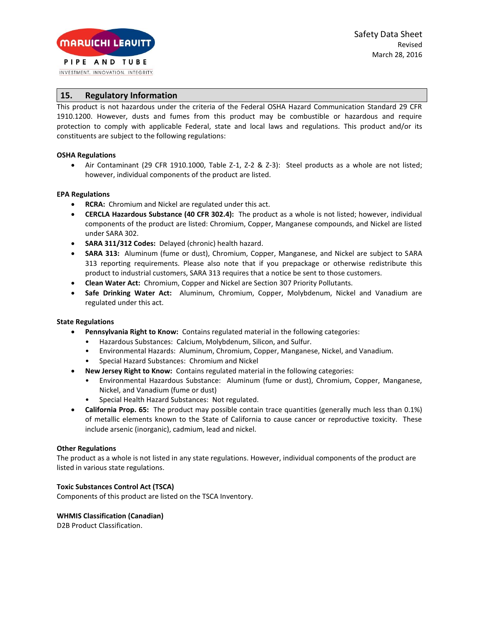INVESTMENT. INNOVATION. INTEGRITY.

# **15. Regulatory Information**

This product is not hazardous under the criteria of the Federal OSHA Hazard Communication Standard 29 CFR 1910.1200. However, dusts and fumes from this product may be combustible or hazardous and require protection to comply with applicable Federal, state and local laws and regulations. This product and/or its constituents are subject to the following regulations:

### **OSHA Regulations**

• Air Contaminant (29 CFR 1910.1000, Table Z-1, Z-2 & Z-3): Steel products as a whole are not listed; however, individual components of the product are listed.

#### **EPA Regulations**

- **RCRA:** Chromium and Nickel are regulated under this act.
- **CERCLA Hazardous Substance (40 CFR 302.4):** The product as a whole is not listed; however, individual components of the product are listed: Chromium, Copper, Manganese compounds, and Nickel are listed under SARA 302.
- **SARA 311/312 Codes:** Delayed (chronic) health hazard.
- **SARA 313:** Aluminum (fume or dust), Chromium, Copper, Manganese, and Nickel are subject to SARA 313 reporting requirements. Please also note that if you prepackage or otherwise redistribute this product to industrial customers, SARA 313 requires that a notice be sent to those customers.
- **Clean Water Act:** Chromium, Copper and Nickel are Section 307 Priority Pollutants.
- **Safe Drinking Water Act:** Aluminum, Chromium, Copper, Molybdenum, Nickel and Vanadium are regulated under this act.

### **State Regulations**

- **Pennsylvania Right to Know:** Contains regulated material in the following categories:
	- Hazardous Substances: Calcium, Molybdenum, Silicon, and Sulfur.
	- Environmental Hazards: Aluminum, Chromium, Copper, Manganese, Nickel, and Vanadium.
	- Special Hazard Substances: Chromium and Nickel
- **New Jersey Right to Know:** Contains regulated material in the following categories:
	- Environmental Hazardous Substance: Aluminum (fume or dust), Chromium, Copper, Manganese, Nickel, and Vanadium (fume or dust)
	- Special Health Hazard Substances: Not regulated.
- **California Prop. 65:** The product may possible contain trace quantities (generally much less than 0.1%) of metallic elements known to the State of California to cause cancer or reproductive toxicity. These include arsenic (inorganic), cadmium, lead and nickel.

#### **Other Regulations**

The product as a whole is not listed in any state regulations. However, individual components of the product are listed in various state regulations.

#### **Toxic Substances Control Act (TSCA)**

Components of this product are listed on the TSCA Inventory.

#### **WHMIS Classification (Canadian)**

D2B Product Classification.